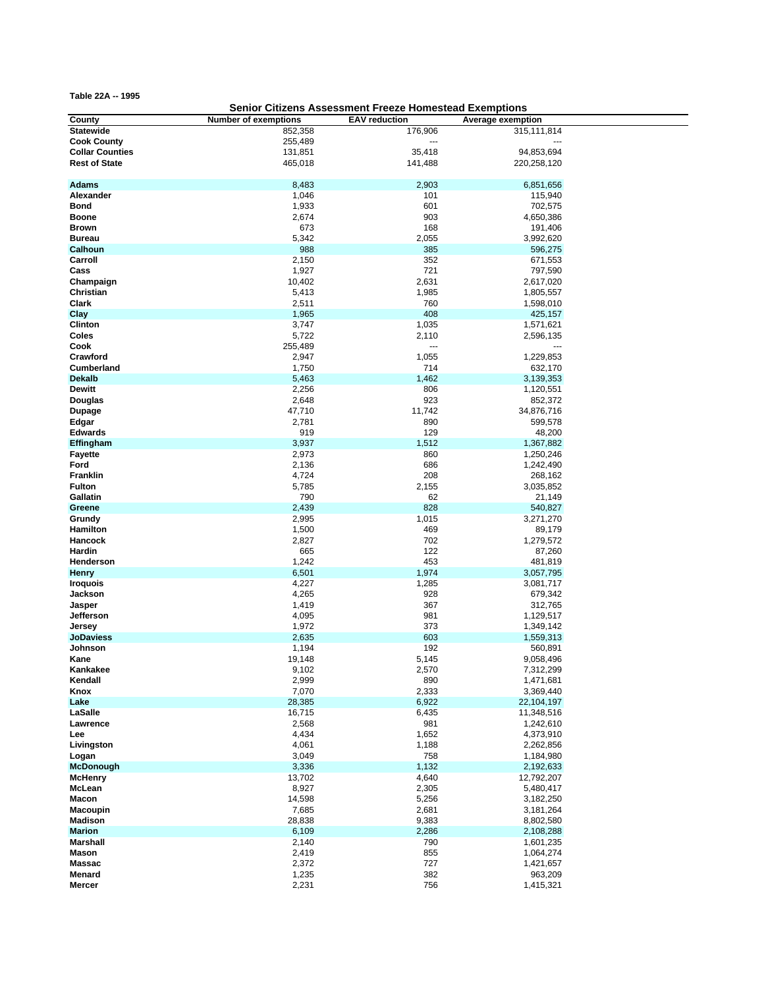**Table 22A -- 1995**

## **Senior Citizens Assessment Freeze Homestead Exemptions**

| County                 | <b>Number of exemptions</b> | <b>EAV</b> reduction | Average exemption |  |
|------------------------|-----------------------------|----------------------|-------------------|--|
| <b>Statewide</b>       | 852,358                     | 176,906              | 315,111,814       |  |
| <b>Cook County</b>     | 255,489                     |                      |                   |  |
| <b>Collar Counties</b> | 131,851                     | 35,418               | 94,853,694        |  |
| <b>Rest of State</b>   | 465,018                     | 141,488              | 220,258,120       |  |
|                        |                             |                      |                   |  |
|                        |                             |                      |                   |  |
| <b>Adams</b>           | 8,483                       | 2,903                | 6,851,656         |  |
| Alexander              | 1,046                       | 101                  | 115,940           |  |
| <b>Bond</b>            | 1,933                       | 601                  | 702,575           |  |
| <b>Boone</b>           | 2,674                       | 903                  | 4,650,386         |  |
| <b>Brown</b>           | 673                         | 168                  | 191,406           |  |
| <b>Bureau</b>          | 5,342                       | 2,055                | 3,992,620         |  |
| Calhoun                | 988                         | 385                  | 596,275           |  |
| Carroll                | 2,150                       | 352                  | 671,553           |  |
| Cass                   | 1,927                       | 721                  | 797,590           |  |
| Champaign              | 10,402                      | 2,631                | 2,617,020         |  |
| Christian              | 5,413                       | 1,985                | 1,805,557         |  |
| Clark                  | 2,511                       | 760                  | 1,598,010         |  |
| Clay                   | 1,965                       | 408                  | 425,157           |  |
| <b>Clinton</b>         | 3,747                       |                      |                   |  |
|                        |                             | 1,035                | 1,571,621         |  |
| Coles                  | 5,722                       | 2,110                | 2,596,135         |  |
| Cook                   | 255,489                     |                      |                   |  |
| Crawford               | 2,947                       | 1,055                | 1,229,853         |  |
| <b>Cumberland</b>      | 1,750                       | 714                  | 632,170           |  |
| <b>Dekalb</b>          | 5,463                       | 1,462                | 3,139,353         |  |
| <b>Dewitt</b>          | 2,256                       | 806                  | 1,120,551         |  |
| Douglas                | 2,648                       | 923                  | 852,372           |  |
| <b>Dupage</b>          | 47,710                      | 11,742               | 34,876,716        |  |
| Edgar                  | 2,781                       | 890                  | 599,578           |  |
| <b>Edwards</b>         | 919                         | 129                  | 48,200            |  |
| Effingham              | 3,937                       | 1,512                | 1,367,882         |  |
| <b>Fayette</b>         | 2,973                       | 860                  | 1,250,246         |  |
| Ford                   | 2,136                       | 686                  | 1,242,490         |  |
| <b>Franklin</b>        | 4,724                       | 208                  | 268,162           |  |
| <b>Fulton</b>          | 5,785                       | 2,155                | 3,035,852         |  |
| Gallatin               | 790                         | 62                   | 21,149            |  |
| Greene                 | 2,439                       | 828                  |                   |  |
|                        |                             |                      | 540,827           |  |
| Grundy                 | 2,995                       | 1,015                | 3,271,270         |  |
| Hamilton               | 1,500                       | 469                  | 89,179            |  |
| Hancock                | 2,827                       | 702                  | 1,279,572         |  |
| Hardin                 | 665                         | 122                  | 87,260            |  |
| Henderson              | 1,242                       | 453                  | 481,819           |  |
| <b>Henry</b>           | 6,501                       | 1,974                | 3,057,795         |  |
| <b>Iroquois</b>        | 4,227                       | 1,285                | 3,081,717         |  |
| Jackson                | 4,265                       | 928                  | 679,342           |  |
| Jasper                 | 1,419                       | 367                  | 312,765           |  |
| Jefferson              | 4,095                       | 981                  | 1,129,517         |  |
| Jersey                 | 1,972                       | 373                  | 1,349,142         |  |
| <b>JoDaviess</b>       | 2,635                       | 603                  | 1,559,313         |  |
| Johnson                | 1,194                       | 192                  | 560,891           |  |
| Kane                   | 19,148                      | 5,145                | 9,058,496         |  |
| Kankakee               | 9,102                       | 2,570                | 7,312,299         |  |
| Kendall                | 2,999                       | 890                  | 1,471,681         |  |
| Knox                   | 7,070                       | 2,333                | 3,369,440         |  |
| Lake                   | 28,385                      | 6,922                | 22,104,197        |  |
| LaSalle                | 16,715                      | 6,435                | 11,348,516        |  |
| Lawrence               | 2,568                       | 981                  | 1,242,610         |  |
| Lee                    | 4,434                       | 1,652                | 4,373,910         |  |
| Livingston             | 4,061                       |                      |                   |  |
|                        |                             | 1,188                | 2,262,856         |  |
| Logan                  | 3,049                       | 758                  | 1,184,980         |  |
| <b>McDonough</b>       | 3,336                       | 1,132                | 2,192,633         |  |
| <b>McHenry</b>         | 13,702                      | 4,640                | 12,792,207        |  |
| McLean                 | 8,927                       | 2,305                | 5,480,417         |  |
| <b>Macon</b>           | 14,598                      | 5,256                | 3,182,250         |  |
| <b>Macoupin</b>        | 7,685                       | 2,681                | 3,181,264         |  |
| <b>Madison</b>         | 28,838                      | 9,383                | 8,802,580         |  |
| <b>Marion</b>          | 6,109                       | 2,286                | 2,108,288         |  |
| <b>Marshall</b>        | 2,140                       | 790                  | 1,601,235         |  |
| <b>Mason</b>           | 2,419                       | 855                  | 1,064,274         |  |
| <b>Massac</b>          | 2,372                       | 727                  | 1,421,657         |  |
| Menard                 | 1,235                       | 382                  | 963,209           |  |
| Mercer                 | 2,231                       | 756                  | 1,415,321         |  |
|                        |                             |                      |                   |  |